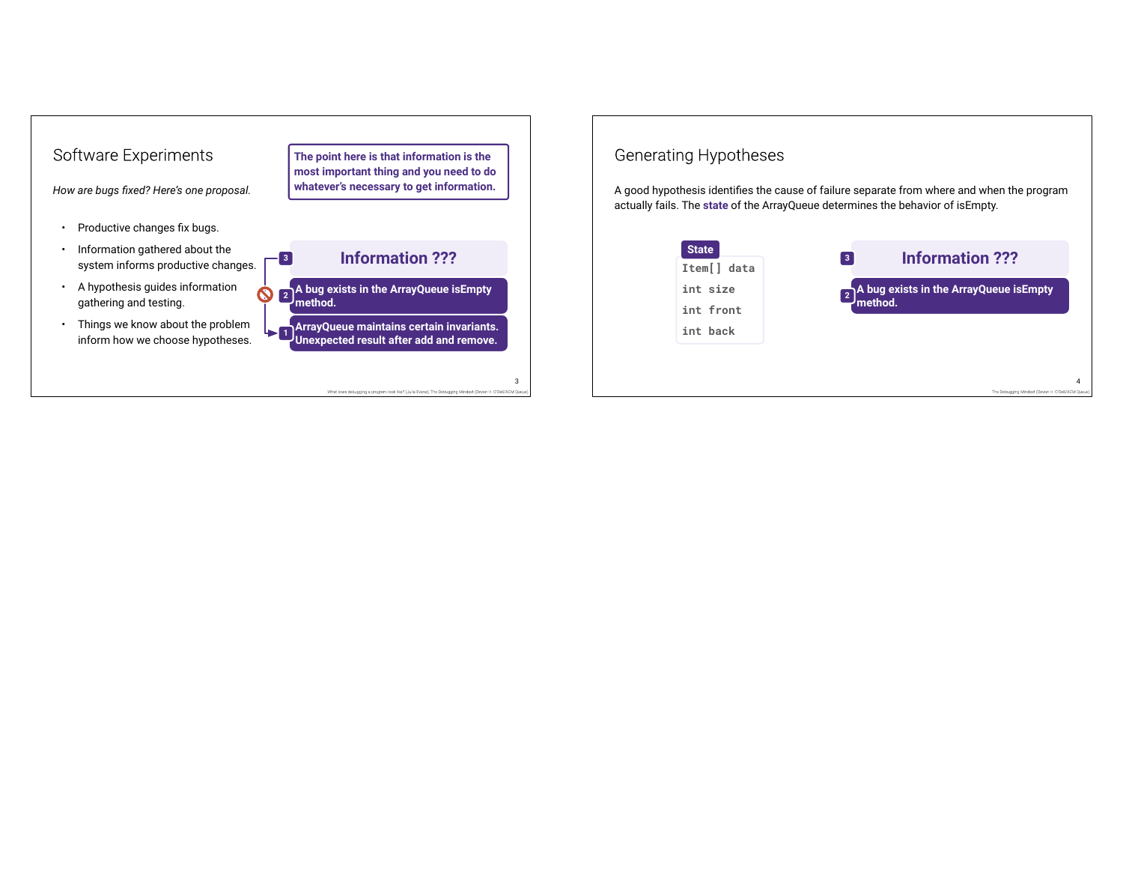

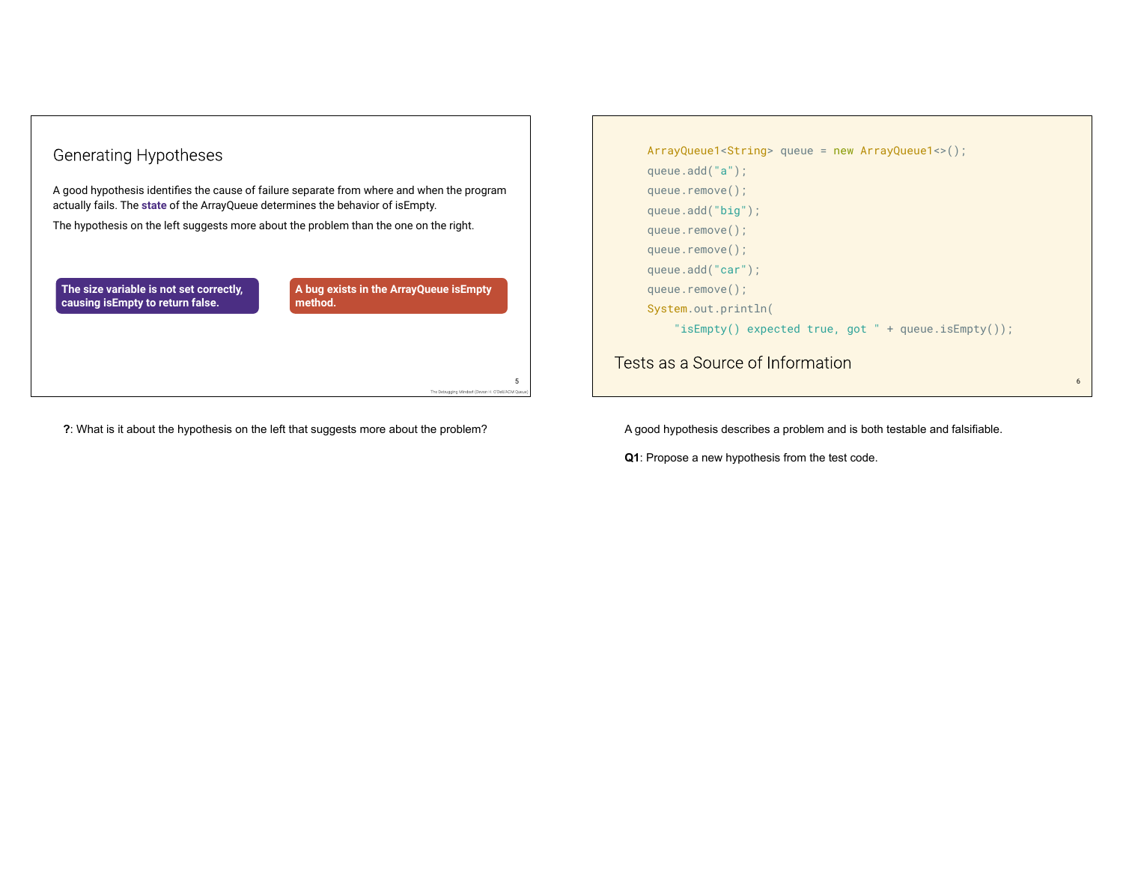### **Generating Hypotheses**

A good hypothesis identifies the cause of failure separate from where and when the program actually fails. The **state** of the ArrayQueue determines the behavior of isEmpty.

The hypothesis on the left suggests more about the problem than the one on the right.

**The size variable is not set correctly, causing isEmpty to return false.**

**A bug exists in the ArrayQueue isEmpty method.**

5

**?**: What is it about the hypothesis on the left that suggests more about the problem?

```
ArrayQueue1<String> queue = new ArrayQueue1<>();
     queue.add("a");
     queue.remove();
     queue.add("big");
     queue.remove();
     queue.remove();
     queue.add("car");
     queue.remove();
     System.out.println(
         "isEmpty() expected true, got " + queue.isEmpty());
Tests as a Source of Information
```
6

A good hypothesis describes a problem and is both testable and falsifiable.

**Q1**: Propose a new hypothesis from the test code.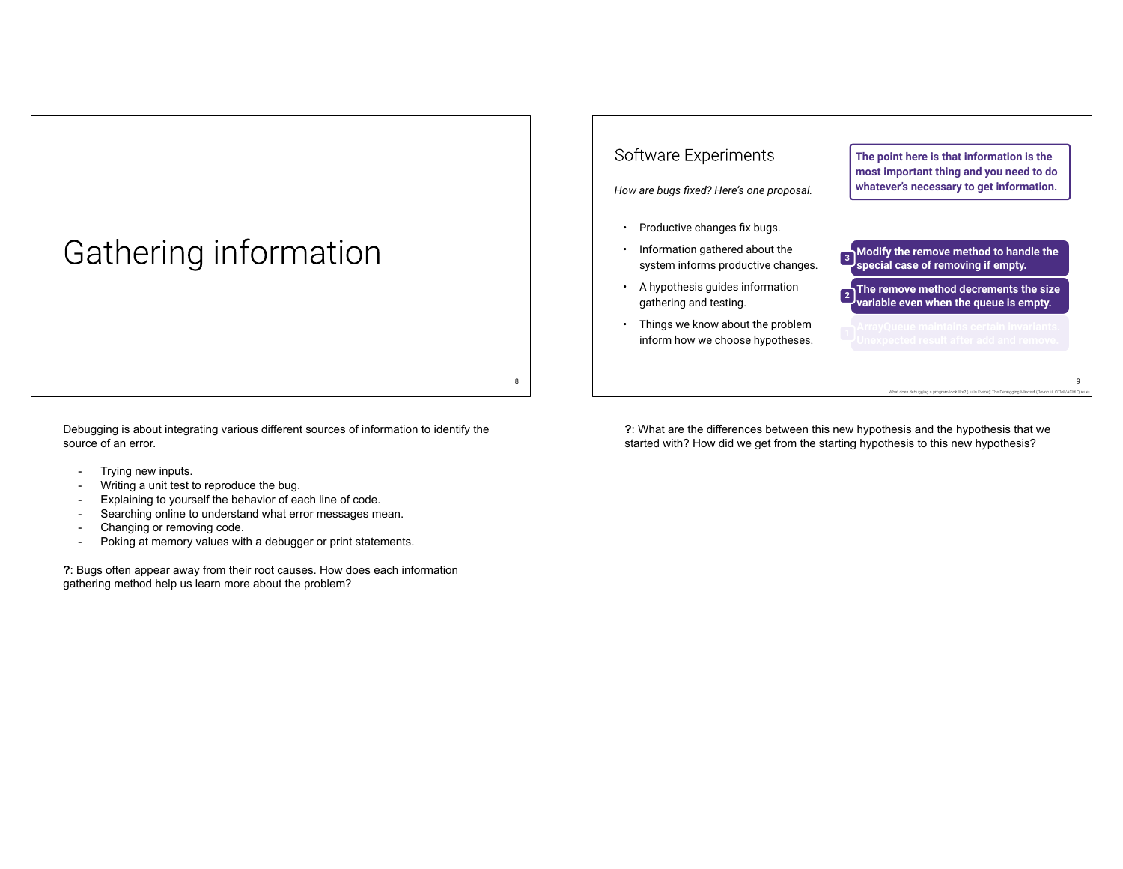## Gathering information

Debugging is about integrating various different sources of information to identify the source of an error.

- Trying new inputs.
- Writing a unit test to reproduce the bug.
- Explaining to yourself the behavior of each line of code.
- Searching online to understand what error messages mean.
- Changing or removing code.
- Poking at memory values with a debugger or print statements.

**?**: Bugs often appear away from their root causes. How does each information gathering method help us learn more about the problem?

#### Software Experiments

*How are bugs fixed? Here's one proposal.*

- Productive changes fix bugs.
- Information gathered about the system informs productive changes.
- A hypothesis guides information gathering and testing.
- Things we know about the problem inform how we choose hypotheses.

8

**The point here is that information is the most important thing and you need to do whatever's necessary to get information.**

- **Modify the remove method to handle the 3 special case of removing if empty.**
- **The remove method decrements the size variable even when the queue is empty.**
- 

9

**?**: What are the differences between this new hypothesis and the hypothesis that we started with? How did we get from the starting hypothesis to this new hypothesis?